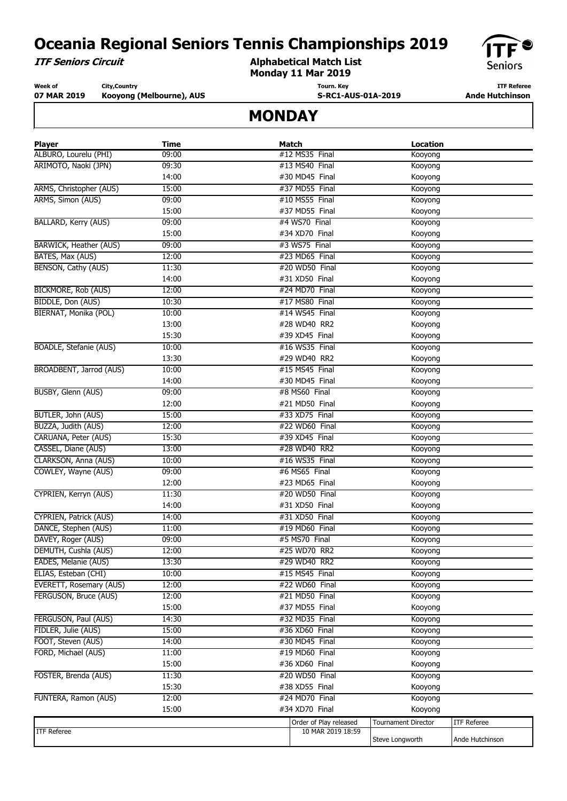# **Oceania Regional Seniors Tennis Championships 2019**

**ITF Seniors Circuit**

#### **Alphabetical Match List Monday 11 Mar 2019**



**Week of 07 MAR 2019 City,Country Kooyong (Melbourne), AUS** **Tourn. Key S-RC1-AUS-01A-2019**

**ITF Referee Ande Hutchinson** 

### **MONDAY**

| <b>Player</b>                 | Time  | Match |                        | <b>Location</b>            |                    |
|-------------------------------|-------|-------|------------------------|----------------------------|--------------------|
| ALBURO, Lourelu (PHI)         | 09:00 |       | #12 MS35 Final         | Kooyong                    |                    |
| ARIMOTO, Naoki (JPN)          | 09:30 |       | #13 MS40 Final         | Kooyong                    |                    |
|                               | 14:00 |       | #30 MD45 Final         | Kooyong                    |                    |
| ARMS, Christopher (AUS)       | 15:00 |       | #37 MD55 Final         | Kooyong                    |                    |
| ARMS, Simon (AUS)             | 09:00 |       | #10 MS55 Final         | Kooyong                    |                    |
|                               | 15:00 |       | #37 MD55 Final         | Kooyong                    |                    |
| <b>BALLARD, Kerry (AUS)</b>   | 09:00 |       | #4 WS70 Final          | Kooyong                    |                    |
|                               | 15:00 |       | #34 XD70 Final         | Kooyong                    |                    |
| <b>BARWICK, Heather (AUS)</b> | 09:00 |       | #3 WS75 Final          | Kooyong                    |                    |
| BATES, Max (AUS)              | 12:00 |       | #23 MD65 Final         | Kooyong                    |                    |
| BENSON, Cathy (AUS)           | 11:30 |       | #20 WD50 Final         | Kooyong                    |                    |
|                               | 14:00 |       | #31 XD50 Final         | Kooyong                    |                    |
| <b>BICKMORE, Rob (AUS)</b>    | 12:00 |       | #24 MD70 Final         | Kooyong                    |                    |
| BIDDLE, Don (AUS)             | 10:30 |       | #17 MS80 Final         | Kooyong                    |                    |
| BIERNAT, Monika (POL)         | 10:00 |       | #14 WS45 Final         | Kooyong                    |                    |
|                               | 13:00 |       | #28 WD40 RR2           | Kooyong                    |                    |
|                               | 15:30 |       | #39 XD45 Final         | Kooyong                    |                    |
| BOADLE, Stefanie (AUS)        | 10:00 |       | #16 WS35 Final         | Kooyong                    |                    |
|                               | 13:30 |       | #29 WD40 RR2           | Kooyong                    |                    |
| BROADBENT, Jarrod (AUS)       | 10:00 |       | #15 MS45 Final         | Kooyong                    |                    |
|                               | 14:00 |       | #30 MD45 Final         | Kooyong                    |                    |
| BUSBY, Glenn (AUS)            | 09:00 |       | #8 MS60 Final          | Kooyong                    |                    |
|                               | 12:00 |       | #21 MD50 Final         | Kooyong                    |                    |
| BUTLER, John (AUS)            | 15:00 |       | #33 XD75 Final         | Kooyong                    |                    |
| BUZZA, Judith (AUS)           | 12:00 |       | #22 WD60 Final         | Kooyong                    |                    |
| CARUANA, Peter (AUS)          | 15:30 |       | #39 XD45 Final         | Kooyong                    |                    |
| CASSEL, Diane (AUS)           | 13:00 |       | #28 WD40 RR2           | Kooyong                    |                    |
| CLARKSON, Anna (AUS)          | 10:00 |       | #16 WS35 Final         | Kooyong                    |                    |
| COWLEY, Wayne (AUS)           | 09:00 |       | #6 MS65 Final          | Kooyong                    |                    |
|                               | 12:00 |       | #23 MD65 Final         | Kooyong                    |                    |
| <b>CYPRIEN, Kerryn (AUS)</b>  | 11:30 |       | #20 WD50 Final         | Kooyong                    |                    |
|                               | 14:00 |       | #31 XD50 Final         | Kooyong                    |                    |
| <b>CYPRIEN, Patrick (AUS)</b> | 14:00 |       | #31 XD50 Final         | Kooyong                    |                    |
| DANCE, Stephen (AUS)          | 11:00 |       | #19 MD60 Final         | Kooyong                    |                    |
| DAVEY, Roger (AUS)            | 09:00 |       | #5 MS70 Final          | Kooyong                    |                    |
| DEMUTH, Cushla (AUS)          | 12:00 |       | #25 WD70 RR2           | Kooyong                    |                    |
| EADES, Melanie (AUS)          | 13:30 |       | #29 WD40 RR2           | Kooyong                    |                    |
| ELIAS, Esteban (CHI)          | 10:00 |       | #15 MS45 Final         | Kooyong                    |                    |
| EVERETT, Rosemary (AUS)       | 12:00 |       | #22 WD60 Final         | Kooyong                    |                    |
| FERGUSON, Bruce (AUS)         | 12:00 |       | #21 MD50 Final         | Kooyong                    |                    |
|                               | 15:00 |       | #37 MD55 Final         | Kooyong                    |                    |
| FERGUSON, Paul (AUS)          | 14:30 |       | #32 MD35 Final         | Kooyong                    |                    |
| FIDLER, Julie (AUS)           | 15:00 |       | #36 XD60 Final         | Kooyong                    |                    |
| FOOT, Steven (AUS)            | 14:00 |       | #30 MD45 Final         | Kooyong                    |                    |
| FORD, Michael (AUS)           | 11:00 |       | #19 MD60 Final         | Kooyong                    |                    |
|                               | 15:00 |       | #36 XD60 Final         | Kooyong                    |                    |
| FOSTER, Brenda (AUS)          | 11:30 |       | #20 WD50 Final         | Kooyong                    |                    |
|                               | 15:30 |       | #38 XD55 Final         | Kooyong                    |                    |
| FUNTERA, Ramon (AUS)          | 12:00 |       | #24 MD70 Final         | Kooyong                    |                    |
|                               | 15:00 |       | #34 XD70 Final         | Kooyong                    |                    |
|                               |       |       | Order of Play released | <b>Tournament Director</b> | <b>ITF Referee</b> |
| <b>ITF Referee</b>            |       |       | 10 MAR 2019 18:59      |                            |                    |
|                               |       |       |                        | Steve Longworth            | Ande Hutchinson    |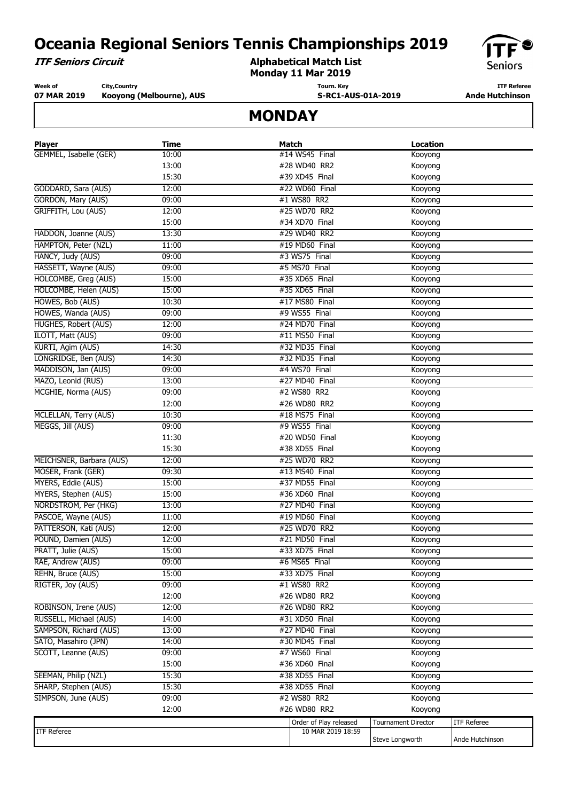# **Oceania Regional Seniors Tennis Championships 2019**



#### **Alphabetical Match List Monday 11 Mar 2019**



**Week of 07 MAR 2019 City,Country Kooyong (Melbourne), AUS** **Tourn. Key S-RC1-AUS-01A-2019**

**ITF Referee Ande Hutchinson** 

## **MONDAY**

| <b>Player</b>               | Time  | <b>Match</b>           | <b>Location</b>            |                    |
|-----------------------------|-------|------------------------|----------------------------|--------------------|
| GEMMEL, Isabelle (GER)      | 10:00 | #14 WS45 Final         | Kooyong                    |                    |
|                             | 13:00 | #28 WD40 RR2           | Kooyong                    |                    |
|                             | 15:30 | #39 XD45 Final         | Kooyong                    |                    |
| GODDARD, Sara (AUS)         | 12:00 | #22 WD60 Final         | Kooyong                    |                    |
| GORDON, Mary (AUS)          | 09:00 | #1 WS80 RR2            | Kooyong                    |                    |
| GRIFFITH, Lou (AUS)         | 12:00 | #25 WD70 RR2           | Kooyong                    |                    |
|                             | 15:00 | #34 XD70 Final         | Kooyong                    |                    |
| HADDON, Joanne (AUS)        | 13:30 | #29 WD40 RR2           | Kooyong                    |                    |
| HAMPTON, Peter (NZL)        | 11:00 | #19 MD60 Final         | Kooyong                    |                    |
| HANCY, Judy (AUS)           | 09:00 | #3 WS75 Final          | Kooyong                    |                    |
| HASSETT, Wayne (AUS)        | 09:00 | #5 MS70 Final          | Kooyong                    |                    |
| HOLCOMBE, Greg (AUS)        | 15:00 | #35 XD65 Final         | Kooyong                    |                    |
| HOLCOMBE, Helen (AUS)       | 15:00 | #35 XD65 Final         | Kooyong                    |                    |
| HOWES, Bob (AUS)            | 10:30 | #17 MS80 Final         | Kooyong                    |                    |
| HOWES, Wanda (AUS)          | 09:00 | #9 WS55 Final          | Kooyong                    |                    |
| <b>HUGHES, Robert (AUS)</b> | 12:00 | #24 MD70 Final         | Kooyong                    |                    |
| ILOTT, Matt (AUS)           | 09:00 | #11 MS50 Final         | Kooyong                    |                    |
| KURTI, Agim (AUS)           | 14:30 | #32 MD35 Final         | Kooyong                    |                    |
| LONGRIDGE, Ben (AUS)        | 14:30 | #32 MD35 Final         | Kooyong                    |                    |
| MADDISON, Jan (AUS)         | 09:00 | #4 WS70 Final          | Kooyong                    |                    |
| MAZO, Leonid (RUS)          | 13:00 | #27 MD40 Final         | Kooyong                    |                    |
| MCGHIE, Norma (AUS)         | 09:00 | #2 WS80 RR2            | Kooyong                    |                    |
|                             | 12:00 | #26 WD80 RR2           | Kooyong                    |                    |
| MCLELLAN, Terry (AUS)       | 10:30 | #18 MS75 Final         | Kooyong                    |                    |
| MEGGS, Jill (AUS)           | 09:00 | #9 WS55 Final          | Kooyong                    |                    |
|                             | 11:30 | #20 WD50 Final         | Kooyong                    |                    |
|                             | 15:30 | #38 XD55 Final         | Kooyong                    |                    |
| MEICHSNER, Barbara (AUS)    | 12:00 | #25 WD70 RR2           | Kooyong                    |                    |
| MOSER, Frank (GER)          | 09:30 | #13 MS40 Final         | Kooyong                    |                    |
| MYERS, Eddie (AUS)          | 15:00 | #37 MD55 Final         | Kooyong                    |                    |
| MYERS, Stephen (AUS)        | 15:00 | #36 XD60 Final         | Kooyong                    |                    |
| NORDSTROM, Per (HKG)        | 13:00 | #27 MD40 Final         | Kooyong                    |                    |
| PASCOE, Wayne (AUS)         | 11:00 | #19 MD60 Final         | Kooyong                    |                    |
| PATTERSON, Kati (AUS)       | 12:00 | #25 WD70 RR2           | Kooyong                    |                    |
| POUND, Damien (AUS)         | 12:00 | #21 MD50 Final         | Kooyong                    |                    |
| PRATT, Julie (AUS)          | 15:00 | #33 XD75 Final         | Kooyong                    |                    |
| RAE, Andrew (AUS)           | 09:00 | #6 MS65 Final          | Kooyong                    |                    |
| REHN, Bruce (AUS)           | 15:00 | #33 XD75 Final         | Kooyong                    |                    |
| RIGTER, Joy (AUS)           | 09:00 | #1 WS80 RR2            | Kooyong                    |                    |
|                             | 12:00 | #26 WD80 RR2           | Kooyong                    |                    |
| ROBINSON, Irene (AUS)       | 12:00 | #26 WD80 RR2           | Kooyong                    |                    |
| RUSSELL, Michael (AUS)      | 14:00 | #31 XD50 Final         | Kooyong                    |                    |
| SAMPSON, Richard (AUS)      | 13:00 | #27 MD40 Final         | Kooyong                    |                    |
| SATO, Masahiro (JPN)        | 14:00 | #30 MD45 Final         | Kooyong                    |                    |
| SCOTT, Leanne (AUS)         | 09:00 | #7 WS60 Final          | Kooyong                    |                    |
|                             | 15:00 | #36 XD60 Final         | Kooyong                    |                    |
| SEEMAN, Philip (NZL)        | 15:30 | #38 XD55 Final         | Kooyong                    |                    |
| SHARP, Stephen (AUS)        | 15:30 | #38 XD55 Final         | Kooyong                    |                    |
| SIMPSON, June (AUS)         | 09:00 | #2 WS80 RR2            | Kooyong                    |                    |
|                             | 12:00 | #26 WD80 RR2           | Kooyong                    |                    |
|                             |       | Order of Play released | <b>Tournament Director</b> | <b>ITF Referee</b> |
| <b>ITF Referee</b>          |       | 10 MAR 2019 18:59      |                            |                    |
|                             |       |                        | Steve Longworth            | Ande Hutchinson    |